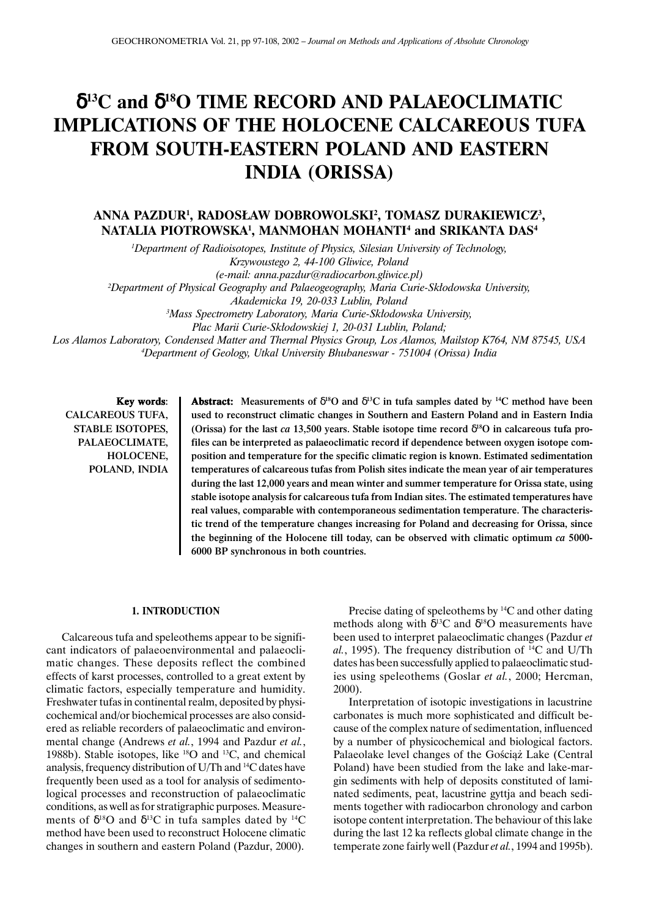# δ**13C and** δ**18O TIME RECORD AND PALAEOCLIMATIC IMPLICATIONS OF THE HOLOCENE CALCAREOUS TUFA FROM SOUTH-EASTERN POLAND AND EASTERN INDIA (ORISSA)**

## **ANNA PAZDUR1 , RADOS£AW DOBROWOLSKI2 , TOMASZ DURAKIEWICZ3 , NATALIA PIOTROWSKA1 , MANMOHAN MOHANTI4 and SRIKANTA DAS4**

*1 Department of Radioisotopes, Institute of Physics, Silesian University of Technology, Krzywoustego 2, 44-100 Gliwice, Poland (e-mail: anna.pazdur@radiocarbon.gliwice.pl)* <sup>2</sup>Department of Physical Geography and Palaeogeography, Maria Curie-Skłodowska University, *Akademicka 19, 20-033 Lublin, Poland* <sup>3</sup> Mass Spectrometry Laboratory, Maria Curie-Skłodowska University, Plac Marii Curie-Skłodowskiej 1, 20-031 Lublin, Poland;

*Los Alamos Laboratory, Condensed Matter and Thermal Physics Group, Los Alamos, Mailstop K764, NM 87545, USA 4 Department of Geology, Utkal University Bhubaneswar - 751004 (Orissa) India*

Key words: CALCAREOUS TUFA, STABLE ISOTOPES, PALAEOCLIMATE, HOLOCENE, POLAND, INDIA

Abstract: Measurements of  $\delta^{18}O$  and  $\delta^{13}C$  in tufa samples dated by <sup>14</sup>C method have been used to reconstruct climatic changes in Southern and Eastern Poland and in Eastern India (Orissa) for the last *ca* 13,500 years. Stable isotope time record  $\delta^{18}$ O in calcareous tufa profiles can be interpreted as palaeoclimatic record if dependence between oxygen isotope composition and temperature for the specific climatic region is known. Estimated sedimentation temperatures of calcareous tufas from Polish sites indicate the mean year of air temperatures during the last 12,000 years and mean winter and summer temperature for Orissa state, using stable isotope analysis for calcareous tufa from Indian sites. The estimated temperatures have real values, comparable with contemporaneous sedimentation temperature. The characteristic trend of the temperature changes increasing for Poland and decreasing for Orissa, since the beginning of the Holocene till today, can be observed with climatic optimum *ca* 5000- 6000 BP synchronous in both countries.

#### **1. INTRODUCTION**

Calcareous tufa and speleothems appear to be significant indicators of palaeoenvironmental and palaeoclimatic changes. These deposits reflect the combined effects of karst processes, controlled to a great extent by climatic factors, especially temperature and humidity. Freshwater tufas in continental realm, deposited by physicochemical and/or biochemical processes are also considered as reliable recorders of palaeoclimatic and environmental change (Andrews *et al.*, 1994 and Pazdur *et al.*, 1988b). Stable isotopes, like 18O and 13C, and chemical analysis, frequency distribution of U/Th and 14C dates have frequently been used as a tool for analysis of sedimentological processes and reconstruction of palaeoclimatic conditions, as well as for stratigraphic purposes. Measurements of  $\delta^{18}O$  and  $\delta^{13}C$  in tufa samples dated by <sup>14</sup>C method have been used to reconstruct Holocene climatic changes in southern and eastern Poland (Pazdur, 2000).

Precise dating of speleothems by  $^{14}C$  and other dating methods along with  $\delta^{13}$ C and  $\delta^{18}$ O measurements have been used to interpret palaeoclimatic changes (Pazdur *et al.*, 1995). The frequency distribution of 14C and U/Th dates has been successfully applied to palaeoclimatic studies using speleothems (Goslar *et al.*, 2000; Hercman, 2000).

Interpretation of isotopic investigations in lacustrine carbonates is much more sophisticated and difficult because of the complex nature of sedimentation, influenced by a number of physicochemical and biological factors. Palaeolake level changes of the Gościąż Lake (Central Poland) have been studied from the lake and lake-margin sediments with help of deposits constituted of laminated sediments, peat, lacustrine gyttja and beach sediments together with radiocarbon chronology and carbon isotope content interpretation. The behaviour of this lake during the last 12 ka reflects global climate change in the temperate zone fairly well (Pazdur *et al.*, 1994 and 1995b).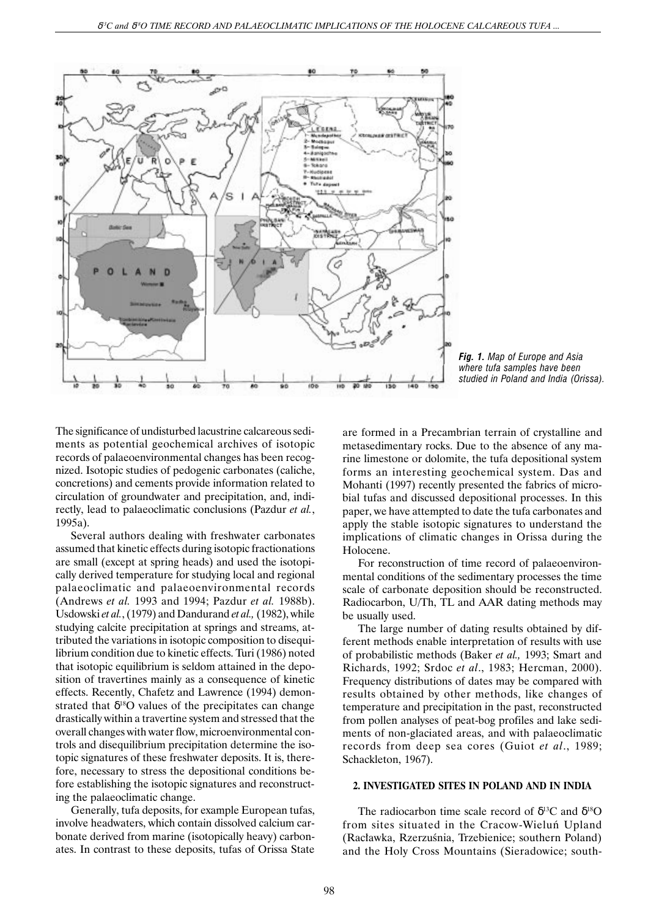

*Fig. 1. Map of Europe and Asia where tufa samples have been studied in Poland and India (Orissa).*

The significance of undisturbed lacustrine calcareous sediments as potential geochemical archives of isotopic records of palaeoenvironmental changes has been recognized. Isotopic studies of pedogenic carbonates (caliche, concretions) and cements provide information related to circulation of groundwater and precipitation, and, indirectly, lead to palaeoclimatic conclusions (Pazdur *et al.*, 1995a).

Several authors dealing with freshwater carbonates assumed that kinetic effects during isotopic fractionations are small (except at spring heads) and used the isotopically derived temperature for studying local and regional palaeoclimatic and palaeoenvironmental records (Andrews *et al.* 1993 and 1994; Pazdur *et al.* 1988b). Usdowski *et al.*, (1979) and Dandurand *et al.,* (1982), while studying calcite precipitation at springs and streams, attributed the variations in isotopic composition to disequilibrium condition due to kinetic effects. Turi (1986) noted that isotopic equilibrium is seldom attained in the deposition of travertines mainly as a consequence of kinetic effects. Recently, Chafetz and Lawrence (1994) demonstrated that  $\delta^{18}$ O values of the precipitates can change drastically within a travertine system and stressed that the overall changes with water flow, microenvironmental controls and disequilibrium precipitation determine the isotopic signatures of these freshwater deposits. It is, therefore, necessary to stress the depositional conditions before establishing the isotopic signatures and reconstructing the palaeoclimatic change.

Generally, tufa deposits, for example European tufas, involve headwaters, which contain dissolved calcium carbonate derived from marine (isotopically heavy) carbonates. In contrast to these deposits, tufas of Orissa State are formed in a Precambrian terrain of crystalline and metasedimentary rocks. Due to the absence of any marine limestone or dolomite, the tufa depositional system forms an interesting geochemical system. Das and Mohanti (1997) recently presented the fabrics of microbial tufas and discussed depositional processes. In this paper, we have attempted to date the tufa carbonates and apply the stable isotopic signatures to understand the implications of climatic changes in Orissa during the Holocene.

For reconstruction of time record of palaeoenvironmental conditions of the sedimentary processes the time scale of carbonate deposition should be reconstructed. Radiocarbon, U/Th, TL and AAR dating methods may be usually used.

The large number of dating results obtained by different methods enable interpretation of results with use of probabilistic methods (Baker *et al.,* 1993; Smart and Richards, 1992; Srdoc *et al*., 1983; Hercman, 2000). Frequency distributions of dates may be compared with results obtained by other methods, like changes of temperature and precipitation in the past, reconstructed from pollen analyses of peat-bog profiles and lake sediments of non-glaciated areas, and with palaeoclimatic records from deep sea cores (Guiot *et al*., 1989; Schackleton, 1967).

#### **2. INVESTIGATED SITES IN POLAND AND IN INDIA**

The radiocarbon time scale record of  $\delta^{13}$ C and  $\delta^{18}$ O from sites situated in the Cracow-Wieluñ Upland (Racławka, Rzerzuśnia, Trzebienice; southern Poland) and the Holy Cross Mountains (Sieradowice; south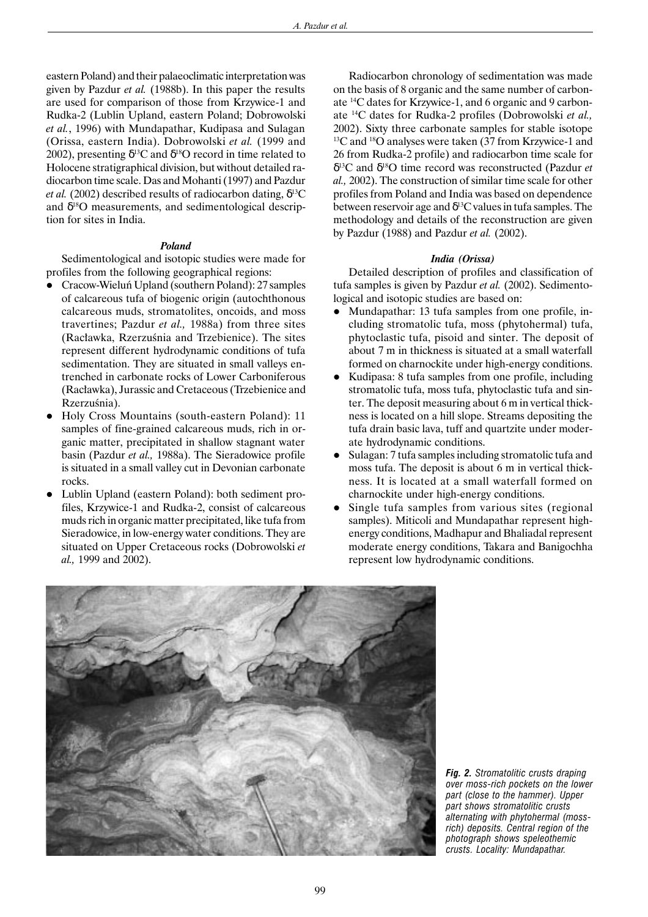eastern Poland) and their palaeoclimatic interpretation was given by Pazdur *et al.* (1988b). In this paper the results are used for comparison of those from Krzywice-1 and Rudka-2 (Lublin Upland, eastern Poland; Dobrowolski *et al.*, 1996) with Mundapathar, Kudipasa and Sulagan (Orissa, eastern India). Dobrowolski *et al.* (1999 and 2002), presenting  $\delta^{13}$ C and  $\delta^{18}$ O record in time related to Holocene stratigraphical division, but without detailed radiocarbon time scale. Das and Mohanti (1997) and Pazdur *et al.* (2002) described results of radiocarbon dating,  $\delta^{13}$ C and  $\delta^{18}$ O measurements, and sedimentological description for sites in India.

#### *Poland*

Sedimentological and isotopic studies were made for profiles from the following geographical regions:

- l Cracow-Wieluñ Upland (southern Poland): 27 samples of calcareous tufa of biogenic origin (autochthonous calcareous muds, stromatolites, oncoids, and moss travertines; Pazdur *et al.,* 1988a) from three sites (Racławka, Rzerzuśnia and Trzebienice). The sites represent different hydrodynamic conditions of tufa sedimentation. They are situated in small valleys entrenched in carbonate rocks of Lower Carboniferous (Racławka), Jurassic and Cretaceous (Trzebienice and Rzerzuśnia).
- l Holy Cross Mountains (south-eastern Poland): 11 samples of fine-grained calcareous muds, rich in organic matter, precipitated in shallow stagnant water basin (Pazdur *et al.,* 1988a). The Sieradowice profile is situated in a small valley cut in Devonian carbonate rocks.
- Lublin Upland (eastern Poland): both sediment profiles, Krzywice-1 and Rudka-2, consist of calcareous muds rich in organic matter precipitated, like tufa from Sieradowice, in low-energy water conditions. They are situated on Upper Cretaceous rocks (Dobrowolski *et al.,* 1999 and 2002).

Radiocarbon chronology of sedimentation was made on the basis of 8 organic and the same number of carbonate 14C dates for Krzywice-1, and 6 organic and 9 carbonate 14C dates for Rudka-2 profiles (Dobrowolski *et al.,* 2002). Sixty three carbonate samples for stable isotope 13C and 18O analyses were taken (37 from Krzywice-1 and 26 from Rudka-2 profile) and radiocarbon time scale for δ13C and δ18O time record was reconstructed (Pazdur *et al.,* 2002). The construction of similar time scale for other profiles from Poland and India was based on dependence between reservoir age and  $\delta^{13}$ C values in tufa samples. The methodology and details of the reconstruction are given by Pazdur (1988) and Pazdur *et al.* (2002).

#### *India (Orissa)*

Detailed description of profiles and classification of tufa samples is given by Pazdur *et al.* (2002). Sedimentological and isotopic studies are based on:

- Mundapathar: 13 tufa samples from one profile, including stromatolic tufa, moss (phytohermal) tufa, phytoclastic tufa, pisoid and sinter. The deposit of about 7 m in thickness is situated at a small waterfall formed on charnockite under high-energy conditions.
- Kudipasa: 8 tufa samples from one profile, including stromatolic tufa, moss tufa, phytoclastic tufa and sinter. The deposit measuring about 6 m in vertical thickness is located on a hill slope. Streams depositing the tufa drain basic lava, tuff and quartzite under moderate hydrodynamic conditions.
- l Sulagan: 7 tufa samples including stromatolic tufa and moss tufa. The deposit is about 6 m in vertical thickness. It is located at a small waterfall formed on charnockite under high-energy conditions.
- $\bullet$  Single tufa samples from various sites (regional samples). Miticoli and Mundapathar represent highenergy conditions, Madhapur and Bhaliadal represent moderate energy conditions, Takara and Banigochha represent low hydrodynamic conditions.



*Fig. 2. Stromatolitic crusts draping over moss-rich pockets on the lower part (close to the hammer). Upper part shows stromatolitic crusts alternating with phytohermal (mossrich) deposits. Central region of the photograph shows speleothemic crusts. Locality: Mundapathar.*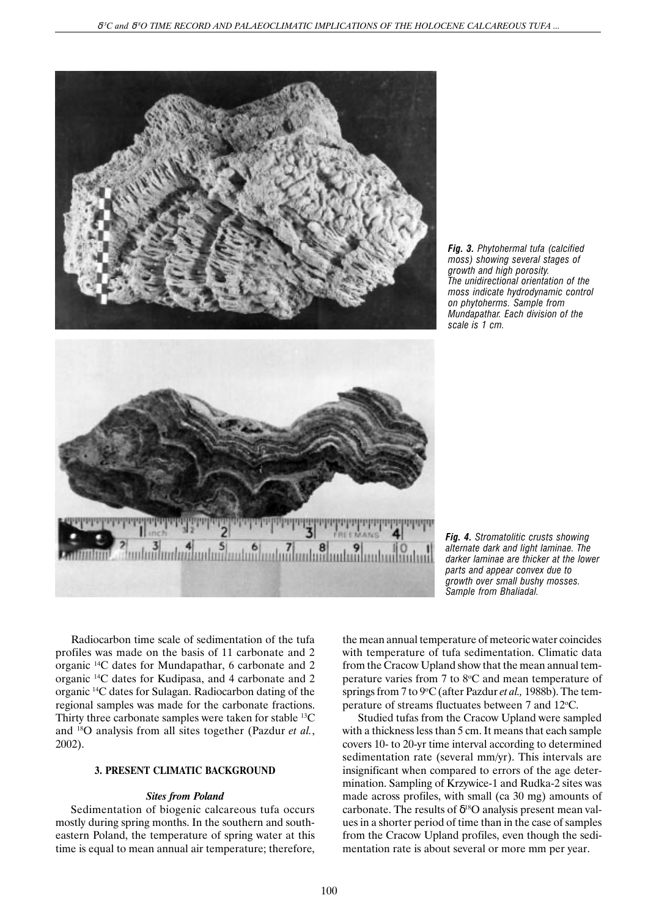





*Fig. 4. Stromatolitic crusts showing alternate dark and light laminae. The darker laminae are thicker at the lower parts and appear convex due to growth over small bushy mosses. Sample from Bhaliadal.*

Radiocarbon time scale of sedimentation of the tufa profiles was made on the basis of 11 carbonate and 2 organic 14C dates for Mundapathar, 6 carbonate and 2 organic 14C dates for Kudipasa, and 4 carbonate and 2 organic 14C dates for Sulagan. Radiocarbon dating of the regional samples was made for the carbonate fractions. Thirty three carbonate samples were taken for stable 13C and 18O analysis from all sites together (Pazdur *et al.*, 2002).

## **3. PRESENT CLIMATIC BACKGROUND**

## *Sites from Poland*

Sedimentation of biogenic calcareous tufa occurs mostly during spring months. In the southern and southeastern Poland, the temperature of spring water at this time is equal to mean annual air temperature; therefore, the mean annual temperature of meteoric water coincides with temperature of tufa sedimentation. Climatic data from the Cracow Upland show that the mean annual temperature varies from 7 to 8°C and mean temperature of springs from 7 to 9°C (after Pazdur *et al.*, 1988b). The temperature of streams fluctuates between 7 and 12°C.

Studied tufas from the Cracow Upland were sampled with a thickness less than 5 cm. It means that each sample covers 10- to 20-yr time interval according to determined sedimentation rate (several mm/yr). This intervals are insignificant when compared to errors of the age determination. Sampling of Krzywice-1 and Rudka-2 sites was made across profiles, with small (ca 30 mg) amounts of carbonate. The results of  $\delta^{18}O$  analysis present mean values in a shorter period of time than in the case of samples from the Cracow Upland profiles, even though the sedimentation rate is about several or more mm per year.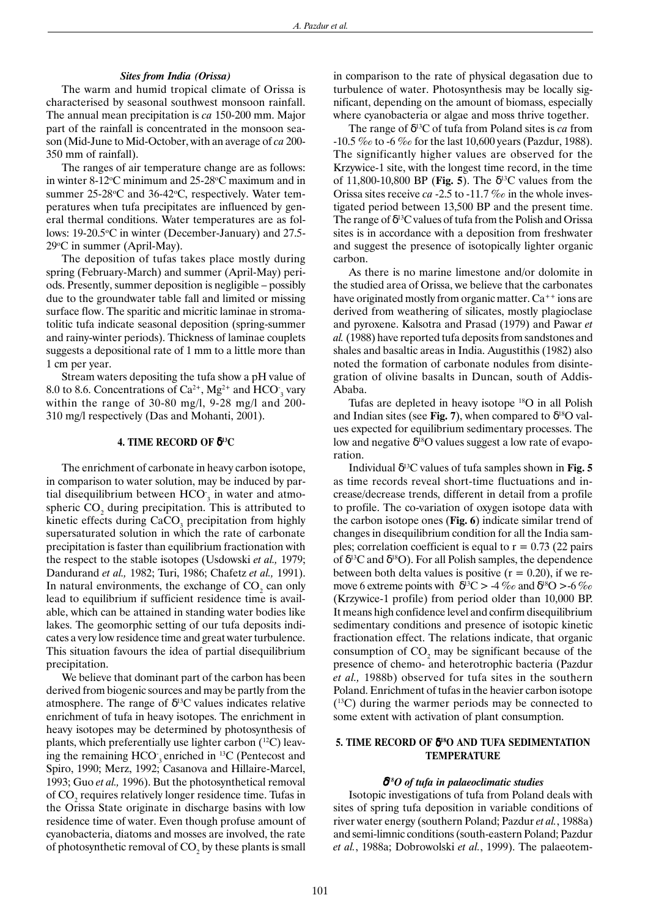#### *Sites from India (Orissa)*

The warm and humid tropical climate of Orissa is characterised by seasonal southwest monsoon rainfall. The annual mean precipitation is *ca* 150-200 mm. Major part of the rainfall is concentrated in the monsoon season (Mid-June to Mid-October, with an average of *ca* 200- 350 mm of rainfall).

The ranges of air temperature change are as follows: in winter 8-12°C minimum and 25-28°C maximum and in summer 25-28°C and 36-42°C, respectively. Water temperatures when tufa precipitates are influenced by general thermal conditions. Water temperatures are as follows: 19-20.5°C in winter (December-January) and 27.5-29°C in summer (April-May).

The deposition of tufas takes place mostly during spring (February-March) and summer (April-May) periods. Presently, summer deposition is negligible – possibly due to the groundwater table fall and limited or missing surface flow. The sparitic and micritic laminae in stromatolitic tufa indicate seasonal deposition (spring-summer and rainy-winter periods). Thickness of laminae couplets suggests a depositional rate of 1 mm to a little more than 1 cm per year.

Stream waters depositing the tufa show a pH value of 8.0 to 8.6. Concentrations of  $Ca^{2+}$ , Mg<sup>2+</sup> and HCO<sub>3</sub> vary within the range of 30-80 mg/l, 9-28 mg/l and 200- 310 mg/l respectively (Das and Mohanti, 2001).

#### **4. TIME RECORD OF** δ**13C**

The enrichment of carbonate in heavy carbon isotope, in comparison to water solution, may be induced by partial disequilibrium between  $HCO_{3}$  in water and atmospheric  $CO_2$  during precipitation. This is attributed to kinetic effects during  $CaCO<sub>3</sub>$  precipitation from highly supersaturated solution in which the rate of carbonate precipitation is faster than equilibrium fractionation with the respect to the stable isotopes (Usdowski *et al.,* 1979; Dandurand *et al.,* 1982; Turi, 1986; Chafetz *et al.,* 1991). In natural environments, the exchange of  $CO_2$  can only lead to equilibrium if sufficient residence time is available, which can be attained in standing water bodies like lakes. The geomorphic setting of our tufa deposits indicates a very low residence time and great water turbulence. This situation favours the idea of partial disequilibrium precipitation.

We believe that dominant part of the carbon has been derived from biogenic sources and may be partly from the atmosphere. The range of  $\delta^{13}$ C values indicates relative enrichment of tufa in heavy isotopes. The enrichment in heavy isotopes may be determined by photosynthesis of plants, which preferentially use lighter carbon  $(^{12}C)$  leaving the remaining  $HCO<sub>3</sub>$  enriched in <sup>13</sup>C (Pentecost and Spiro, 1990; Merz, 1992; Casanova and Hillaire-Marcel, 1993; Guo *et al.,* 1996). But the photosynthetical removal of  $\mathrm{CO}_2$  requires relatively longer residence time. Tufas in the Orissa State originate in discharge basins with low residence time of water. Even though profuse amount of cyanobacteria, diatoms and mosses are involved, the rate of photosynthetic removal of  $\mathrm{CO}_2$  by these plants is small

in comparison to the rate of physical degasation due to turbulence of water. Photosynthesis may be locally significant, depending on the amount of biomass, especially where cyanobacteria or algae and moss thrive together.

The range of δ13C of tufa from Poland sites is *ca* from -10.5 ‰ to -6 ‰ for the last 10,600 years (Pazdur, 1988). The significantly higher values are observed for the Krzywice-1 site, with the longest time record, in the time of 11,800-10,800 BP (**Fig. 5**). The  $\delta^{13}$ C values from the Orissa sites receive *ca* -2.5 to -11.7 ‰ in the whole investigated period between 13,500 BP and the present time. The range of  $\delta^{13}$ C values of tufa from the Polish and Orissa sites is in accordance with a deposition from freshwater and suggest the presence of isotopically lighter organic carbon.

As there is no marine limestone and/or dolomite in the studied area of Orissa, we believe that the carbonates have originated mostly from organic matter.  $Ca^{++}$  ions are derived from weathering of silicates, mostly plagioclase and pyroxene. Kalsotra and Prasad (1979) and Pawar *et al.* (1988) have reported tufa deposits from sandstones and shales and basaltic areas in India. Augustithis (1982) also noted the formation of carbonate nodules from disintegration of olivine basalts in Duncan, south of Addis-Ababa.

Tufas are depleted in heavy isotope 18O in all Polish and Indian sites (see Fig. 7), when compared to  $\delta^{18}$ O values expected for equilibrium sedimentary processes. The low and negative  $δ<sup>18</sup>O$  values suggest a low rate of evaporation.

Individual  $δ<sup>13</sup>C$  values of tufa samples shown in **Fig. 5** as time records reveal short-time fluctuations and increase/decrease trends, different in detail from a profile to profile. The co-variation of oxygen isotope data with the carbon isotope ones (**Fig. 6**) indicate similar trend of changes in disequilibrium condition for all the India samples; correlation coefficient is equal to  $r = 0.73$  (22 pairs of  $\delta^{13}$ C and  $\delta^{18}$ O). For all Polish samples, the dependence between both delta values is positive  $(r = 0.20)$ , if we remove 6 extreme points with  $\delta^{13}C > -4\%$  and  $\delta^{18}O > -6\%$ (Krzywice-1 profile) from period older than 10,000 BP. It means high confidence level and confirm disequilibrium sedimentary conditions and presence of isotopic kinetic fractionation effect. The relations indicate, that organic consumption of  $CO_2$  may be significant because of the presence of chemo- and heterotrophic bacteria (Pazdur *et al.,* 1988b) observed for tufa sites in the southern Poland. Enrichment of tufas in the heavier carbon isotope (13C) during the warmer periods may be connected to some extent with activation of plant consumption.

## **5. TIME RECORD OF** δ**18O AND TUFA SEDIMENTATION TEMPERATURE**

#### δ*18O of tufa in palaeoclimatic studies*

Isotopic investigations of tufa from Poland deals with sites of spring tufa deposition in variable conditions of river water energy (southern Poland; Pazdur *et al.*, 1988a) and semi-limnic conditions (south-eastern Poland; Pazdur *et al.*, 1988a; Dobrowolski *et al.*, 1999). The palaeotem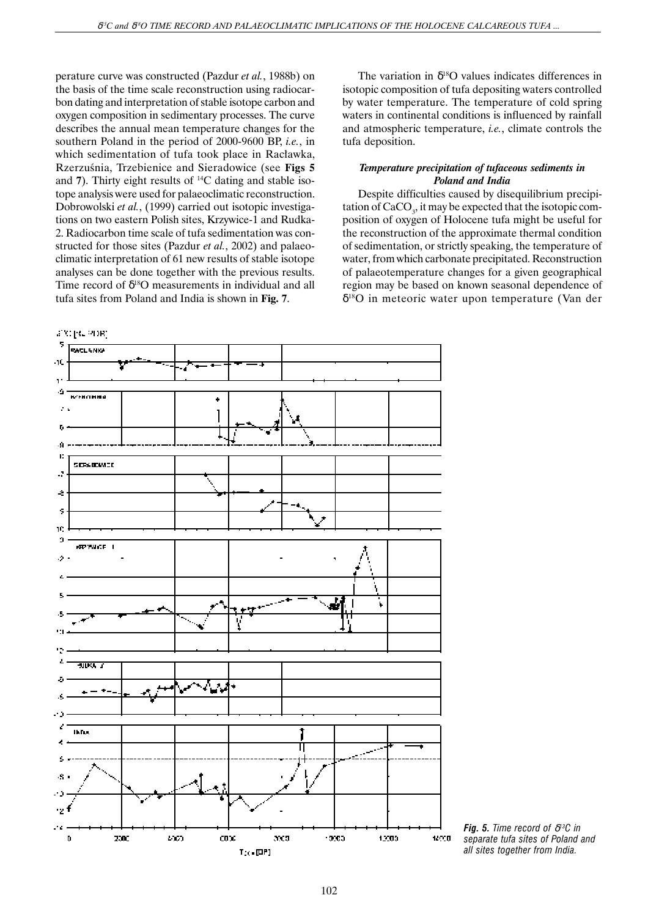perature curve was constructed (Pazdur *et al.*, 1988b) on the basis of the time scale reconstruction using radiocarbon dating and interpretation of stable isotope carbon and oxygen composition in sedimentary processes. The curve describes the annual mean temperature changes for the southern Poland in the period of 2000-9600 BP, *i.e.*, in which sedimentation of tufa took place in Racławka, Rzerzuśnia, Trzebienice and Sieradowice (see Figs 5 and **7**). Thirty eight results of 14C dating and stable isotope analysis were used for palaeoclimatic reconstruction. Dobrowolski *et al.*, (1999) carried out isotopic investigations on two eastern Polish sites, Krzywice-1 and Rudka-2. Radiocarbon time scale of tufa sedimentation was constructed for those sites (Pazdur *et al.*, 2002) and palaeoclimatic interpretation of 61 new results of stable isotope analyses can be done together with the previous results. Time record of  $\delta^{18}O$  measurements in individual and all tufa sites from Poland and India is shown in **Fig. 7**.

The variation in  $\delta^{18}O$  values indicates differences in isotopic composition of tufa depositing waters controlled by water temperature. The temperature of cold spring waters in continental conditions is influenced by rainfall and atmospheric temperature, *i.e.*, climate controls the tufa deposition.

## *Temperature precipitation of tufaceous sediments in Poland and India*

Despite difficulties caused by disequilibrium precipitation of  $\rm CaCO_{\textrm{\tiny{3}}}$ , it may be expected that the isotopic composition of oxygen of Holocene tufa might be useful for the reconstruction of the approximate thermal condition of sedimentation, or strictly speaking, the temperature of water, from which carbonate precipitated. Reconstruction of palaeotemperature changes for a given geographical region may be based on known seasonal dependence of δ18O in meteoric water upon temperature (Van der



*Fig. 5. Time record of* δ*13C in separate tufa sites of Poland and all sites together from India.*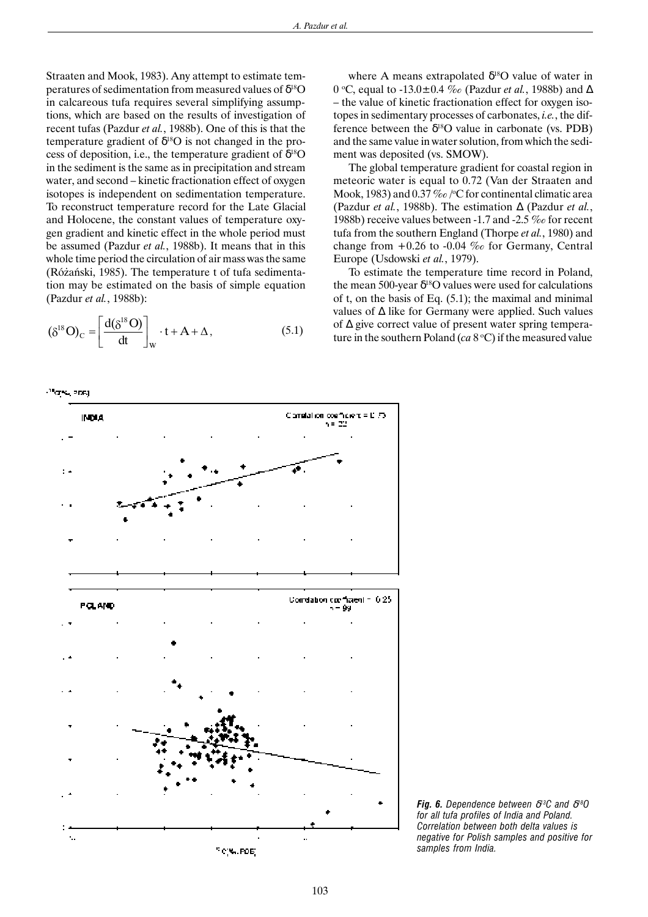Straaten and Mook, 1983). Any attempt to estimate temperatures of sedimentation from measured values of  $\delta^{18}O$ in calcareous tufa requires several simplifying assumptions, which are based on the results of investigation of recent tufas (Pazdur *et al.*, 1988b). One of this is that the temperature gradient of  $\delta^{18}O$  is not changed in the process of deposition, i.e., the temperature gradient of  $\hat{\delta}^{18}O$ in the sediment is the same as in precipitation and stream water, and second – kinetic fractionation effect of oxygen isotopes is independent on sedimentation temperature. To reconstruct temperature record for the Late Glacial and Holocene, the constant values of temperature oxygen gradient and kinetic effect in the whole period must be assumed (Pazdur *et al.*, 1988b). It means that in this whole time period the circulation of air mass was the same (Ró¿añski, 1985). The temperature t of tufa sedimentation may be estimated on the basis of simple equation (Pazdur *et al.*, 1988b):

$$
(\delta^{18}O)_C = \left[\frac{d(\delta^{18}O)}{dt}\right]_W \cdot t + A + \Delta, \qquad (5.1)
$$

where A means extrapolated  $\delta^{18}$ O value of water in 0 °C, equal to -13.0±0.4 ‰ (Pazdur *et al*., 1988b) and ∆ – the value of kinetic fractionation effect for oxygen isotopes in sedimentary processes of carbonates, *i.e.*, the difference between the  $\delta^{18}O$  value in carbonate (vs. PDB) and the same value in water solution, from which the sediment was deposited (vs. SMOW).

The global temperature gradient for coastal region in meteoric water is equal to 0.72 (Van der Straaten and Mook, 1983) and 0.37 ‰ /°C for continental climatic area (Pazdur *et al.*, 1988b). The estimation ∆ (Pazdur *et al.*, 1988b) receive values between -1.7 and -2.5 ‰ for recent tufa from the southern England (Thorpe *et al.*, 1980) and change from  $+0.26$  to  $-0.04$  ‰ for Germany, Central Europe (Usdowski *et al.*, 1979).

To estimate the temperature time record in Poland, the mean 500-year  $\delta^{18}$ O values were used for calculations of t, on the basis of Eq. (5.1); the maximal and minimal values of ∆ like for Germany were applied. Such values of ∆ give correct value of present water spring temperature in the southern Poland  $(ca 8 °C)$  if the measured value





*Fig. 6. Dependence between* δ*13C and* δ*18O for all tufa profiles of India and Poland. Correlation between both delta values is negative for Polish samples and positive for samples from India.*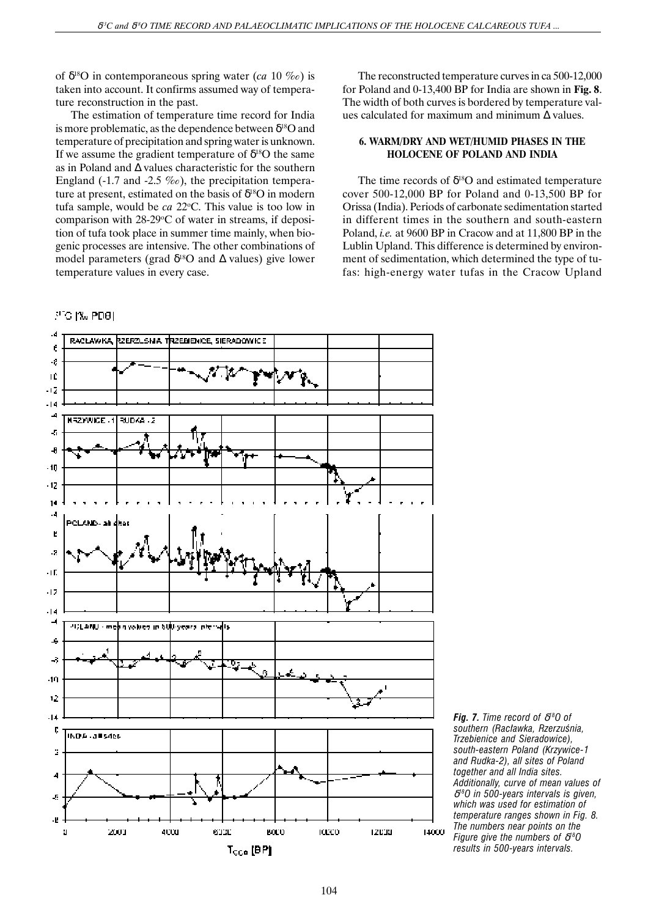of δ18O in contemporaneous spring water (*ca* 10 ‰) is taken into account. It confirms assumed way of temperature reconstruction in the past.

The estimation of temperature time record for India is more problematic, as the dependence between  $\delta^{18}$ O and temperature of precipitation and spring water is unknown. If we assume the gradient temperature of  $\delta^{18}O$  the same as in Poland and ∆ values characteristic for the southern England (-1.7 and -2.5  $\%$ ), the precipitation temperature at present, estimated on the basis of  $\delta^{18}O$  in modern tufa sample, would be *ca* 22 °C. This value is too low in comparison with  $28-29$ °C of water in streams, if deposition of tufa took place in summer time mainly, when biogenic processes are intensive. The other combinations of model parameters (grad  $\delta^{18}$ O and  $\Delta$  values) give lower temperature values in every case.

## $3^{\circ}$ G [‰ PD8]

The reconstructed temperature curves in ca 500-12,000 for Poland and 0-13,400 BP for India are shown in **Fig. 8**. The width of both curves is bordered by temperature values calculated for maximum and minimum ∆ values.

## **6. WARM/DRY AND WET/HUMID PHASES IN THE HOLOCENE OF POLAND AND INDIA**

The time records of  $\delta^{18}O$  and estimated temperature cover 500-12,000 BP for Poland and 0-13,500 BP for Orissa (India). Periods of carbonate sedimentation started in different times in the southern and south-eastern Poland, *i.e.* at 9600 BP in Cracow and at 11,800 BP in the Lublin Upland. This difference is determined by environment of sedimentation, which determined the type of tufas: high-energy water tufas in the Cracow Upland



*Fig. 7. Time record of* δ*18O of* southern (Racławka, Rzerzuśnia, *Trzebienice and Sieradowice), south-eastern Poland (Krzywice-1 and Rudka-2), all sites of Poland together and all India sites. Additionally, curve of mean values of* δ*18O in 500-years intervals is given, which was used for estimation of temperature ranges shown in Fig. 8. The numbers near points on the Figure give the numbers of* δ*18O results in 500-years intervals.*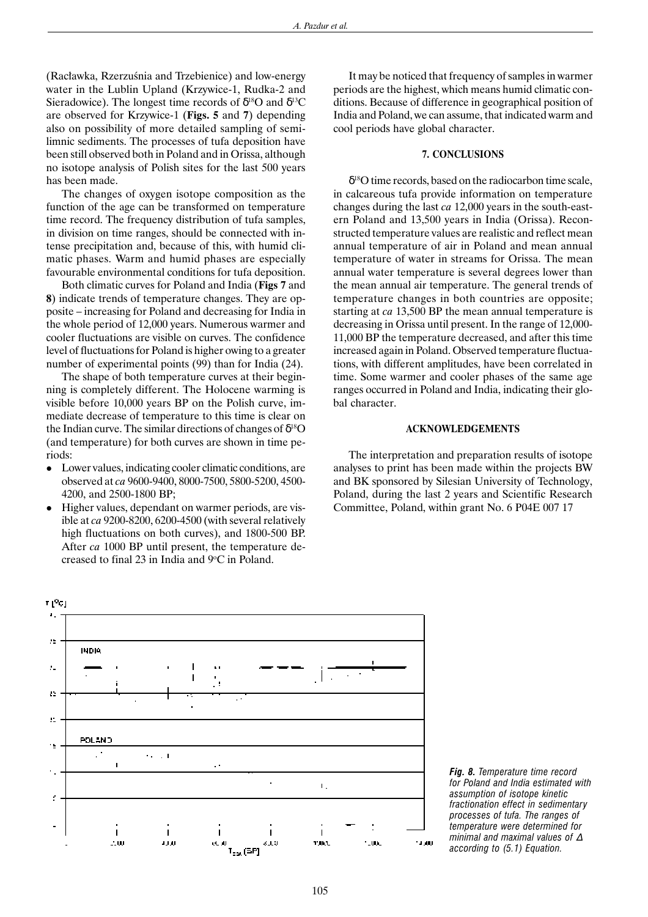(Racławka, Rzerzuśnia and Trzebienice) and low-energy water in the Lublin Upland (Krzywice-1, Rudka-2 and Sieradowice). The longest time records of  $\delta^{18}O$  and  $\delta^{13}O$ are observed for Krzywice-1 (**Figs. 5** and **7**) depending also on possibility of more detailed sampling of semilimnic sediments. The processes of tufa deposition have been still observed both in Poland and in Orissa, although no isotope analysis of Polish sites for the last 500 years has been made.

The changes of oxygen isotope composition as the function of the age can be transformed on temperature time record. The frequency distribution of tufa samples, in division on time ranges, should be connected with intense precipitation and, because of this, with humid climatic phases. Warm and humid phases are especially favourable environmental conditions for tufa deposition.

Both climatic curves for Poland and India (**Figs 7** and **8**) indicate trends of temperature changes. They are opposite – increasing for Poland and decreasing for India in the whole period of 12,000 years. Numerous warmer and cooler fluctuations are visible on curves. The confidence level of fluctuations for Poland is higher owing to a greater number of experimental points (99) than for India (24).

The shape of both temperature curves at their beginning is completely different. The Holocene warming is visible before 10,000 years BP on the Polish curve, immediate decrease of temperature to this time is clear on the Indian curve. The similar directions of changes of  $\delta^{18}O$ (and temperature) for both curves are shown in time periods:

- <sup>l</sup> Lower values, indicating cooler climatic conditions, are observed at *ca* 9600-9400, 8000-7500, 5800-5200, 4500- 4200, and 2500-1800 BP;
- $\bullet$  Higher values, dependant on warmer periods, are visible at *ca* 9200-8200, 6200-4500 (with several relatively high fluctuations on both curves), and 1800-500 BP. After *ca* 1000 BP until present, the temperature decreased to final 23 in India and  $9^{\circ}$ C in Poland.

It may be noticed that frequency of samples in warmer periods are the highest, which means humid climatic conditions. Because of difference in geographical position of India and Poland, we can assume, that indicated warm and cool periods have global character.

## **7. CONCLUSIONS**

 $\delta^{18}$ O time records, based on the radiocarbon time scale, in calcareous tufa provide information on temperature changes during the last *ca* 12,000 years in the south-eastern Poland and 13,500 years in India (Orissa). Reconstructed temperature values are realistic and reflect mean annual temperature of air in Poland and mean annual temperature of water in streams for Orissa. The mean annual water temperature is several degrees lower than the mean annual air temperature. The general trends of temperature changes in both countries are opposite; starting at *ca* 13,500 BP the mean annual temperature is decreasing in Orissa until present. In the range of 12,000- 11,000 BP the temperature decreased, and after this time increased again in Poland. Observed temperature fluctuations, with different amplitudes, have been correlated in time. Some warmer and cooler phases of the same age ranges occurred in Poland and India, indicating their global character.

#### **ACKNOWLEDGEMENTS**

The interpretation and preparation results of isotope analyses to print has been made within the projects BW and BK sponsored by Silesian University of Technology, Poland, during the last 2 years and Scientific Research Committee, Poland, within grant No. 6 P04E 007 17



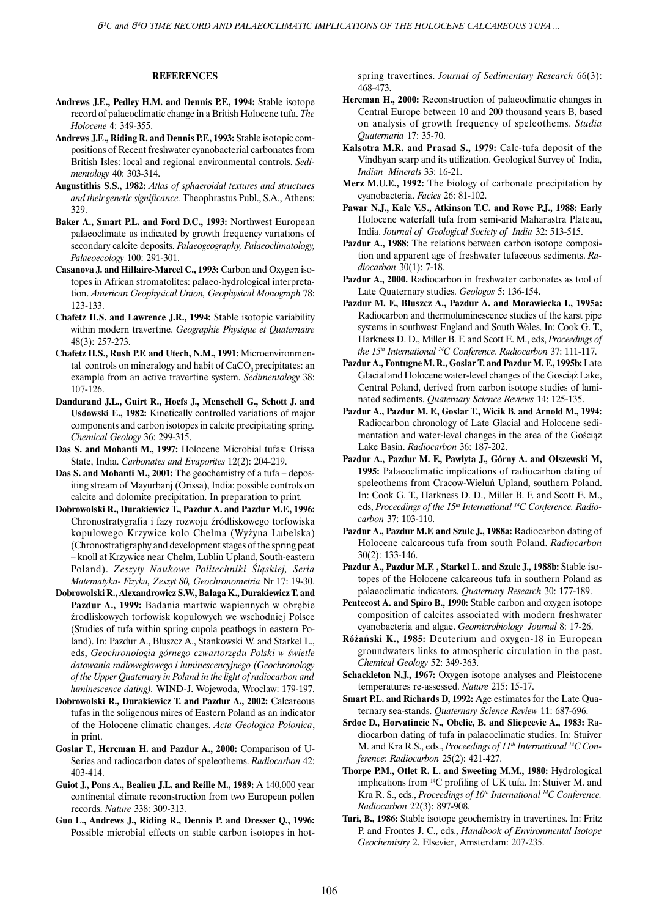## **REFERENCES**

- **Andrews J.E., Pedley H.M. and Dennis P.F., 1994:** Stable isotope record of palaeoclimatic change in a British Holocene tufa. *The Holocene* 4: 349-355.
- **Andrews J.E., Riding R. and Dennis P.F., 1993:** Stable isotopic compositions of Recent freshwater cyanobacterial carbonates from British Isles: local and regional environmental controls. *Sedimentology* 40: 303-314.
- **Augustithis S.S., 1982:** *Atlas of sphaeroidal textures and structures and their genetic significance.* Theophrastus Publ., S.A., Athens: 329.
- **Baker A., Smart P.L. and Ford D.C., 1993:** Northwest European palaeoclimate as indicated by growth frequency variations of secondary calcite deposits. *Palaeogeography, Palaeoclimatology, Palaeoecology* 100: 291-301.
- **Casanova J. and Hillaire-Marcel C., 1993:** Carbon and Oxygen isotopes in African stromatolites: palaeo-hydrological interpretation. *American Geophysical Union, Geophysical Monograph* 78: 123-133.
- **Chafetz H.S. and Lawrence J.R., 1994:** Stable isotopic variability within modern travertine. *Geographie Physique et Quaternaire* 48(3): 257-273.
- **Chafetz H.S., Rush P.F. and Utech, N.M., 1991:** Microenvironmental controls on mineralogy and habit of CaCO<sub>2</sub> precipitates: an example from an active travertine system. *Sedimentology* 38: 107-126.
- **Dandurand J.L., Guirt R., Hoefs J., Menschell G., Schott J. and Usdowski E., 1982:** Kinetically controlled variations of major components and carbon isotopes in calcite precipitating spring*. Chemical Geology* 36: 299-315.
- **Das S. and Mohanti M., 1997:** Holocene Microbial tufas: Orissa State, India. *Carbonates and Evaporites* 12(2): 204-219.
- **Das S. and Mohanti M., 2001:** The geochemistry of a tufa depositing stream of Mayurbanj (Orissa), India: possible controls on calcite and dolomite precipitation. In preparation to print.
- **Dobrowolski R., Durakiewicz T., Pazdur A. and Pazdur M.F., 1996:** Chronostratygrafia i fazy rozwoju źródliskowego torfowiska kopułowego Krzywice kolo Chełma (Wyżyna Lubelska) (Chronostratigraphy and development stages of the spring peat – knoll at Krzywice near Chełm, Lublin Upland, South-eastern Poland). Zeszyty Naukowe Politechniki Śląskiej, Seria *Matematyka- Fizyka, Zeszyt 80, Geochronometria* Nr 17: 19-30.
- **Dobrowolski R., Alexandrowicz S.W., Ba³aga K., Durakiewicz T. and** Pazdur A., 1999: Badania martwic wapiennych w obrębie źrodliskowych torfowisk kopułowych we wschodniej Polsce (Studies of tufa within spring cupola peatbogs in eastern Poland). In: Pazdur A., Bluszcz A., Stankowski W. and Starkel L., eds, Geochronologia górnego czwartorzędu Polski w świetle *datowania radioweglowego i luminescencyjnego (Geochronology of the Upper Quaternary in Poland in the light of radiocarbon and luminescence dating*). WIND-J. Wojewoda, Wrocław: 179-197.
- **Dobrowolski R., Durakiewicz T. and Pazdur A., 2002:** Calcareous tufas in the soligenous mires of Eastern Poland as an indicator of the Holocene climatic changes. *Acta Geologica Polonica*, in print.
- **Goslar T., Hercman H. and Pazdur A., 2000:** Comparison of U-Series and radiocarbon dates of speleothems. *Radiocarbon* 42: 403-414.
- **Guiot J., Pons A., Bealieu J.L. and Reille M., 1989:** A 140,000 year continental climate reconstruction from two European pollen records. *Nature* 338: 309-313.
- **Guo L., Andrews J., Riding R., Dennis P. and Dresser Q., 1996:** Possible microbial effects on stable carbon isotopes in hot-

spring travertines. *Journal of Sedimentary Research* 66(3): 468-473.

- **Hercman H., 2000:** Reconstruction of palaeoclimatic changes in Central Europe between 10 and 200 thousand years B, based on analysis of growth frequency of speleothems. *Studia Quaternaria* 17: 35-70.
- **Kalsotra M.R. and Prasad S., 1979:** Calc-tufa deposit of the Vindhyan scarp and its utilization. Geological Survey of India, *Indian Minerals* 33: 16-21.
- **Merz M.U.E., 1992:** The biology of carbonate precipitation by cyanobacteria. *Facies* 26: 81-102.
- **Pawar N.J., Kale V.S., Atkinson T.C. and Rowe P.J., 1988:** Early Holocene waterfall tufa from semi-arid Maharastra Plateau, India. *Journal of Geological Society of India* 32: 513-515.
- **Pazdur A., 1988:** The relations between carbon isotope composition and apparent age of freshwater tufaceous sediments. *Radiocarbon* 30(1): 7-18.
- **Pazdur A., 2000.** Radiocarbon in freshwater carbonates as tool of Late Quaternary studies. *Geologos* 5: 136-154.
- **Pazdur M. F., Bluszcz A., Pazdur A. and Morawiecka I., 1995a:** Radiocarbon and thermoluminescence studies of the karst pipe systems in southwest England and South Wales. In: Cook G. T., Harkness D. D., Miller B. F. and Scott E. M., eds, *Proceedings of the 15th International 14C Conference. Radiocarbon* 37: 111-117.
- **Pazdur A., Fontugne M. R., Goslar T. and Pazdur M. F., 1995b:** Late Glacial and Holocene water-level changes of the Gosciaż Lake, Central Poland, derived from carbon isotope studies of laminated sediments. *Quaternary Science Reviews* 14: 125-135.
- **Pazdur A., Pazdur M. F., Goslar T., Wicik B. and Arnold M., 1994:** Radiocarbon chronology of Late Glacial and Holocene sedimentation and water-level changes in the area of the Gościąż Lake Basin. *Radiocarbon* 36: 187-202.
- **Pazdur A., Pazdur M. F., Pawlyta J., Górny A. and Olszewski M, 1995:** Palaeoclimatic implications of radiocarbon dating of speleothems from Cracow-Wieluñ Upland, southern Poland. In: Cook G. T., Harkness D. D., Miller B. F. and Scott E. M., eds, Proceedings of the 15<sup>th</sup> International<sup>14</sup>C Conference. Radio*carbon* 37: 103-110.
- **Pazdur A., Pazdur M.F. and Szulc J., 1988a:** Radiocarbon dating of Holocene calcareous tufa from south Poland. *Radiocarbon* 30(2): 133-146.
- **Pazdur A., Pazdur M.F. , Starkel L. and Szulc J., 1988b:** Stable isotopes of the Holocene calcareous tufa in southern Poland as palaeoclimatic indicators. *Quaternary Research* 30: 177-189.
- **Pentecost A. and Spiro B., 1990:** Stable carbon and oxygen isotope composition of calcites associated with modern freshwater cyanobacteria and algae. *Geomicrobiology Journal* 8: 17-26.
- **Ró¿añski K., 1985:** Deuterium and oxygen-18 in European groundwaters links to atmospheric circulation in the past. *Chemical Geology* 52: 349-363.
- **Schackleton N.J., 1967:** Oxygen isotope analyses and Pleistocene temperatures re-assessed. *Nature* 215: 15-17.
- **Smart P.L. and Richards D, 1992:** Age estimates for the Late Quaternary sea-stands. *Quaternary Science Review* 11: 687-696.
- **Srdoc D., Horvatincic N., Obelic, B. and Sliepcevic A., 1983:** Radiocarbon dating of tufa in palaeoclimatic studies. In: Stuiver M. and Kra R.S., eds., *Proceedings of 11<sup>th</sup> International*<sup>14</sup>C Con*ference*: *Radiocarbon* 25(2): 421-427.
- **Thorpe P.M., Otlet R. L. and Sweeting M.M., 1980:** Hydrological implications from 14C profiling of UK tufa. In: Stuiver M. and Kra R. S., eds., *Proceedings of 10<sup>th</sup> International*<sup>14</sup>C Conference. *Radiocarbon* 22(3): 897-908.
- **Turi, B., 1986:** Stable isotope geochemistry in travertines. In: Fritz P. and Frontes J. C., eds., *Handbook of Environmental Isotope Geochemistry* 2. Elsevier, Amsterdam: 207-235.